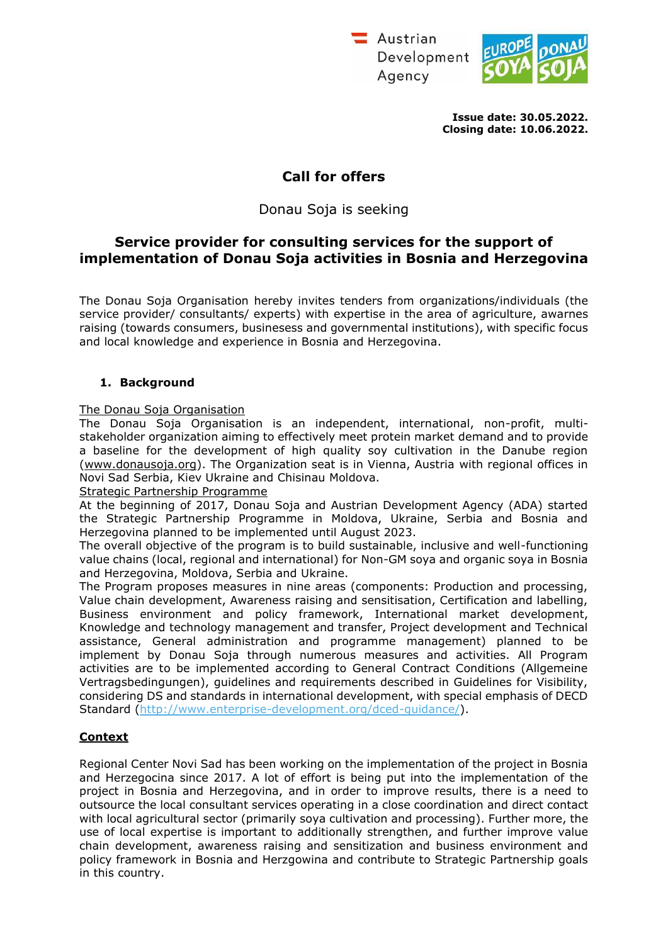Austrian Development Agency



**Issue date: 30.05.2022. Closing date: 10.06.2022.**

# **Call for offers**

Donau Soja is seeking

# **Service provider for consulting services for the support of implementation of Donau Soja activities in Bosnia and Herzegovina**

The Donau Soja Organisation hereby invites tenders from organizations/individuals (the service provider/ consultants/ experts) with expertise in the area of agriculture, awarnes raising (towards consumers, businesess and governmental institutions), with specific focus and local knowledge and experience in Bosnia and Herzegovina.

## **1. Background**

## The Donau Soja Organisation

The Donau Soja Organisation is an independent, international, non-profit, multistakeholder organization aiming to effectively meet protein market demand and to provide a baseline for the development of high quality soy cultivation in the Danube region [\(www.donausoja.org\)](http://www.donausoja.org/). The Organization seat is in Vienna, Austria with regional offices in Novi Sad Serbia, Kiev Ukraine and Chisinau Moldova.

#### Strategic Partnership Programme

At the beginning of 2017, Donau Soja and Austrian Development Agency (ADA) started the Strategic Partnership Programme in Moldova, Ukraine, Serbia and Bosnia and Herzegovina planned to be implemented until August 2023.

The overall objective of the program is to build sustainable, inclusive and well-functioning value chains (local, regional and international) for Non-GM soya and organic soya in Bosnia and Herzegovina, Moldova, Serbia and Ukraine.

The Program proposes measures in nine areas (components: Production and processing, Value chain development, Awareness raising and sensitisation, Certification and labelling, Business environment and policy framework, International market development, Knowledge and technology management and transfer, Project development and Technical assistance, General administration and programme management) planned to be implement by Donau Soja through numerous measures and activities. All Program activities are to be implemented according to General Contract Conditions (Allgemeine Vertragsbedingungen), guidelines and requirements described in Guidelines for Visibility, considering DS and standards in international development, with special emphasis of DECD Standard [\(http://www.enterprise-development.org/dced-guidance/\)](http://www.enterprise-development.org/dced-guidance/).

# **Context**

Regional Center Novi Sad has been working on the implementation of the project in Bosnia and Herzegocina since 2017. A lot of effort is being put into the implementation of the project in Bosnia and Herzegovina, and in order to improve results, there is a need to outsource the local consultant services operating in a close coordination and direct contact with local agricultural sector (primarily soya cultivation and processing). Further more, the use of local expertise is important to additionally strengthen, and further improve value chain development, awareness raising and sensitization and business environment and policy framework in Bosnia and Herzgowina and contribute to Strategic Partnership goals in this country.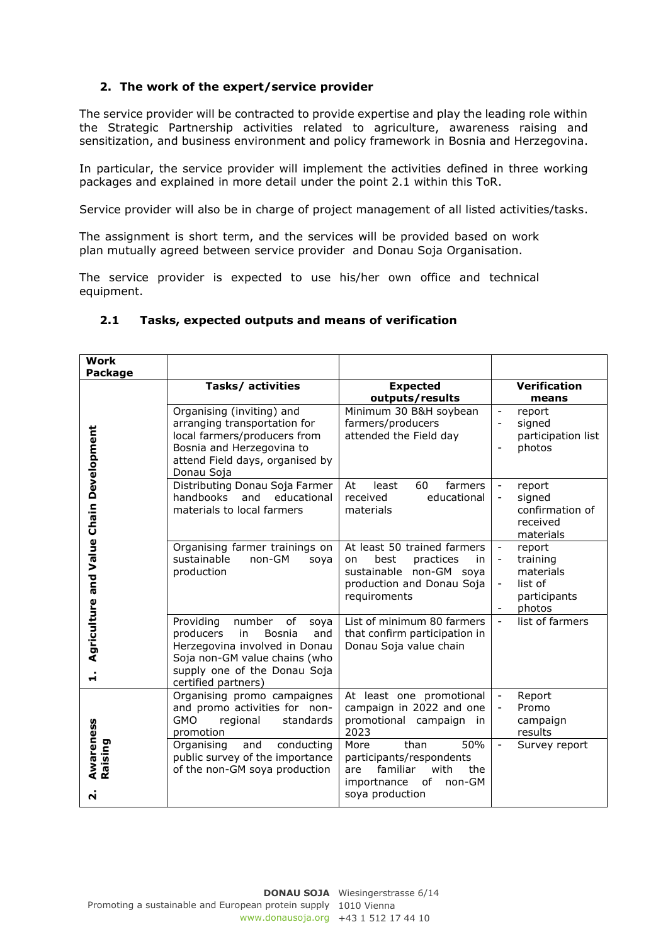## **2. The work of the expert/service provider**

The service provider will be contracted to provide expertise and play the leading role within the Strategic Partnership activities related to agriculture, awareness raising and sensitization, and business environment and policy framework in Bosnia and Herzegovina.

In particular, the service provider will implement the activities defined in three working packages and explained in more detail under the point 2.1 within this ToR.

Service provider will also be in charge of project management of all listed activities/tasks.

The assignment is short term, and the services will be provided based on work plan mutually agreed between service provider and Donau Soja Organisation.

The service provider is expected to use his/her own office and technical equipment.

| <b>Work</b><br>Package                       |                                                                                                                                                                                                       |                                                                                                                                      |                                                                                                                              |
|----------------------------------------------|-------------------------------------------------------------------------------------------------------------------------------------------------------------------------------------------------------|--------------------------------------------------------------------------------------------------------------------------------------|------------------------------------------------------------------------------------------------------------------------------|
|                                              | Tasks/ activities                                                                                                                                                                                     | <b>Expected</b><br>outputs/results                                                                                                   | <b>Verification</b><br>means                                                                                                 |
|                                              | Organising (inviting) and<br>arranging transportation for<br>local farmers/producers from<br>Bosnia and Herzegovina to<br>attend Field days, organised by<br>Donau Soja                               | Minimum 30 B&H soybean<br>farmers/producers<br>attended the Field day                                                                | $\blacksquare$<br>report<br>signed<br>$\overline{\phantom{a}}$<br>participation list<br>photos                               |
|                                              | Distributing Donau Soja Farmer<br>handbooks<br>and educational<br>materials to local farmers                                                                                                          | 60<br>farmers<br>At<br>least<br>received<br>educational<br>materials                                                                 | report<br>$\overline{\phantom{a}}$<br>signed<br>$\overline{\phantom{a}}$<br>confirmation of<br>received<br>materials         |
| Agriculture and Value Chain Development<br>H | Organising farmer trainings on<br>sustainable<br>non-GM<br>soya<br>production                                                                                                                         | At least 50 trained farmers<br>practices<br>best<br>in<br>on<br>sustainable non-GM soya<br>production and Donau Soja<br>requiroments | report<br>$\overline{\phantom{a}}$<br>training<br>$\overline{\phantom{a}}$<br>materials<br>list of<br>participants<br>photos |
|                                              | Providing<br>number<br>of<br>soya<br>producers<br>in<br><b>Bosnia</b><br>and<br>Herzegovina involved in Donau<br>Soja non-GM value chains (who<br>supply one of the Donau Soja<br>certified partners) | List of minimum 80 farmers<br>that confirm participation in<br>Donau Soja value chain                                                | list of farmers                                                                                                              |
| Awareness<br>Raising<br>$\dot{\mathbf{N}}$   | Organising promo campaignes<br>and promo activities for non-<br><b>GMO</b><br>standards<br>regional<br>promotion                                                                                      | At least one promotional<br>campaign in 2022 and one<br>promotional campaign<br>in.<br>2023                                          | Report<br>Promo<br>$\blacksquare$<br>campaign<br>results                                                                     |
|                                              | Organising<br>conducting<br>and<br>public survey of the importance<br>of the non-GM soya production                                                                                                   | than<br>50%<br>More<br>participants/respondents<br>familiar<br>with<br>the<br>are<br>of<br>non-GM<br>importnance<br>soya production  | Survey report<br>$\blacksquare$                                                                                              |

#### **2.1 Tasks, expected outputs and means of verification**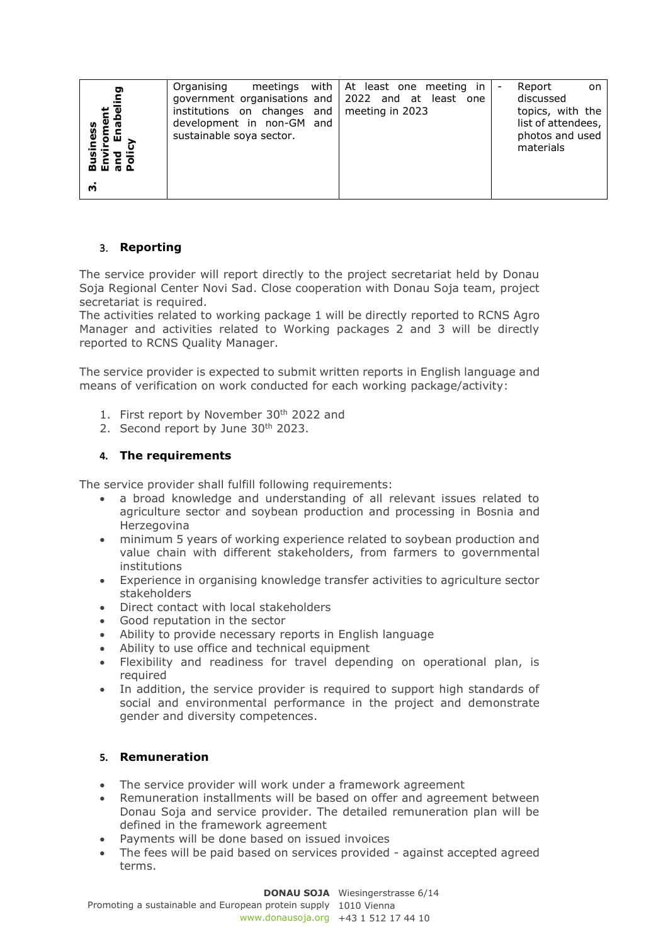| Organising<br>ဥ<br>government organisations and 2022 and at least one<br>institutions on changes and<br>Φ<br>development in non-GM and<br>sustainable soya sector.<br>៙៎ ៙ ៙ ៙<br>m | meetings with $\vert$ At least one meeting in<br>meeting in 2023 | $\overline{\phantom{a}}$ | Report<br>on<br>discussed<br>topics, with the<br>list of attendees,<br>photos and used<br>materials |
|-------------------------------------------------------------------------------------------------------------------------------------------------------------------------------------|------------------------------------------------------------------|--------------------------|-----------------------------------------------------------------------------------------------------|
|-------------------------------------------------------------------------------------------------------------------------------------------------------------------------------------|------------------------------------------------------------------|--------------------------|-----------------------------------------------------------------------------------------------------|

### 3. **Reporting**

The service provider will report directly to the project secretariat held by Donau Soja Regional Center Novi Sad. Close cooperation with Donau Soja team, project secretariat is required.

The activities related to working package 1 will be directly reported to RCNS Agro Manager and activities related to Working packages 2 and 3 will be directly reported to RCNS Quality Manager.

The service provider is expected to submit written reports in English language and means of verification on work conducted for each working package/activity:

- 1. First report by November 30<sup>th</sup> 2022 and
- 2. Second report by June 30<sup>th</sup> 2023.

#### **4. The requirements**

The service provider shall fulfill following requirements:

- a broad knowledge and understanding of all relevant issues related to agriculture sector and soybean production and processing in Bosnia and Herzegovina
- minimum 5 years of working experience related to soybean production and value chain with different stakeholders, from farmers to governmental institutions
- Experience in organising knowledge transfer activities to agriculture sector stakeholders
- Direct contact with local stakeholders
- Good reputation in the sector
- Ability to provide necessary reports in English language
- Ability to use office and technical equipment
- Flexibility and readiness for travel depending on operational plan, is required
- In addition, the service provider is required to support high standards of social and environmental performance in the project and demonstrate gender and diversity competences.

#### **5. Remuneration**

- The service provider will work under a framework agreement
- Remuneration installments will be based on offer and agreement between Donau Soja and service provider. The detailed remuneration plan will be defined in the framework agreement
- Payments will be done based on issued invoices
- The fees will be paid based on services provided against accepted agreed terms.

# **DONAU SOJA** Wiesingerstrasse 6/14

Promoting a sustainable and European protein supply 1010 Vienna www.donausoja.org +43 1 512 17 44 10